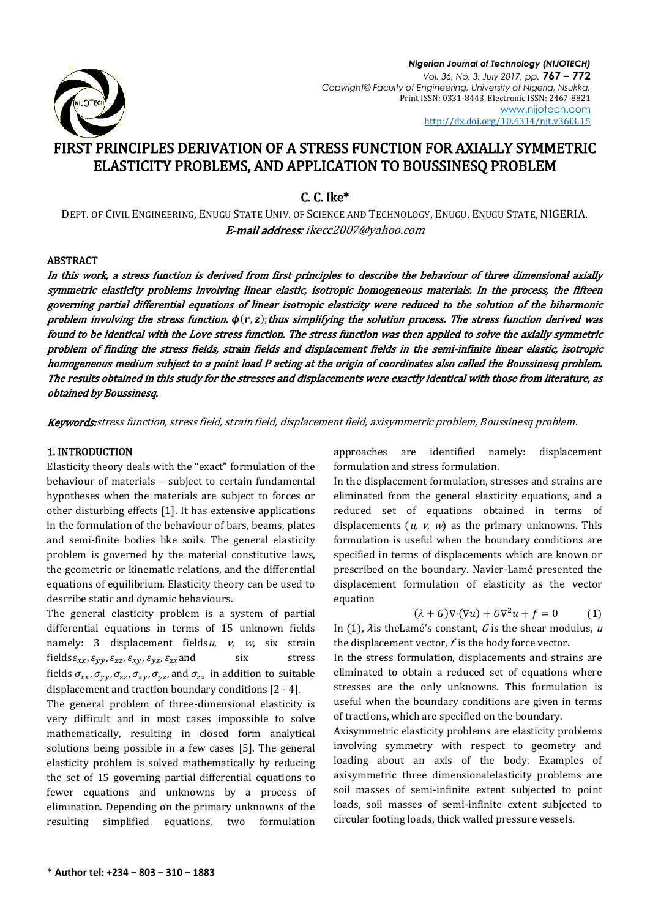

# FIRST PRINCIPLES DERIVATION OF A STRESS FUNCTION FOR AXIALLY SYMMETRIC ELASTICITY PROBLEMS, AND APPLICATION TO BOUSSINESQ PROBLEM

C. C. Ike\*

DEPT. OF CIVIL ENGINEERING, ENUGU STATE UNIV. OF SCIENCE AND TECHNOLOGY, ENUGU. ENUGU STATE, NIGERIA. E-mail address: ikecc2007@yahoo.com

### ABSTRACT

In this work, a stress function is derived from first principles to describe the behaviour of three dimensional axially symmetric elasticity problems involving linear elastic, isotropic homogeneous materials. In the process, the fifteen governing partial differential equations of linear isotropic elasticity were reduced to the solution of the biharmonic problem involving the stress function.  $\phi(r, z)$ ; thus simplifying the solution process. The stress function derived was found to be identical with the Love stress function. The stress function was then applied to solve the axially symmetric problem of finding the stress fields, strain fields and displacement fields in the semi-infinite linear elastic, isotropic homogeneous medium subject to a point load P acting at the origin of coordinates also called the Boussinesq problem. The results obtained in this study for the stresses and displacements were exactly identical with those from literature, as obtained by Boussinesq.

Keywords:stress function, stress field, strain field, displacement field, axisymmetric problem, Boussinesq problem.

### 1. INTRODUCTION

Elasticity theory deals with the "exact" formulation of the behaviour of materials – subject to certain fundamental hypotheses when the materials are subject to forces or other disturbing effects [1]. It has extensive applications in the formulation of the behaviour of bars, beams, plates and semi-finite bodies like soils. The general elasticity problem is governed by the material constitutive laws, the geometric or kinematic relations, and the differential equations of equilibrium. Elasticity theory can be used to describe static and dynamic behaviours.

The general elasticity problem is a system of partial differential equations in terms of 15 unknown fields namely: 3 displacement fields  $u$ ,  $v$ ,  $w$ , six strain fields $\varepsilon_{xx}$ ,  $\varepsilon_{yy}$ ,  $\varepsilon_{zz}$ ,  $\varepsilon_{xy}$ ,  $\varepsilon_{yz}$ ,  $\varepsilon_{zx}$  and six stress fields  $\sigma_{xx}$ ,  $\sigma_{yy}$ ,  $\sigma_{zz}$ ,  $\sigma_{xy}$ ,  $\sigma_{yz}$ , and  $\sigma_{zx}$  in addition to suitable displacement and traction boundary conditions [2 - 4].

The general problem of three-dimensional elasticity is very difficult and in most cases impossible to solve mathematically, resulting in closed form analytical solutions being possible in a few cases [5]. The general elasticity problem is solved mathematically by reducing the set of 15 governing partial differential equations to fewer equations and unknowns by a process of elimination. Depending on the primary unknowns of the resulting simplified equations, two formulation approaches are identified namely: displacement formulation and stress formulation.

In the displacement formulation, stresses and strains are eliminated from the general elasticity equations, and a reduced set of equations obtained in terms of displacements  $(u, v, w)$  as the primary unknowns. This formulation is useful when the boundary conditions are specified in terms of displacements which are known or prescribed on the boundary. Navier-Lamé presented the displacement formulation of elasticity as the vector equation

$$
(\lambda + G)\nabla \cdot (\nabla u) + G\nabla^2 u + f = 0 \tag{1}
$$

In (1),  $\lambda$ is theLamé's constant, G is the shear modulus, u the displacement vector,  $f$  is the body force vector.

In the stress formulation, displacements and strains are eliminated to obtain a reduced set of equations where stresses are the only unknowns. This formulation is useful when the boundary conditions are given in terms of tractions, which are specified on the boundary.

Axisymmetric elasticity problems are elasticity problems involving symmetry with respect to geometry and loading about an axis of the body. Examples of axisymmetric three dimensionalelasticity problems are soil masses of semi-infinite extent subjected to point loads, soil masses of semi-infinite extent subjected to circular footing loads, thick walled pressure vessels.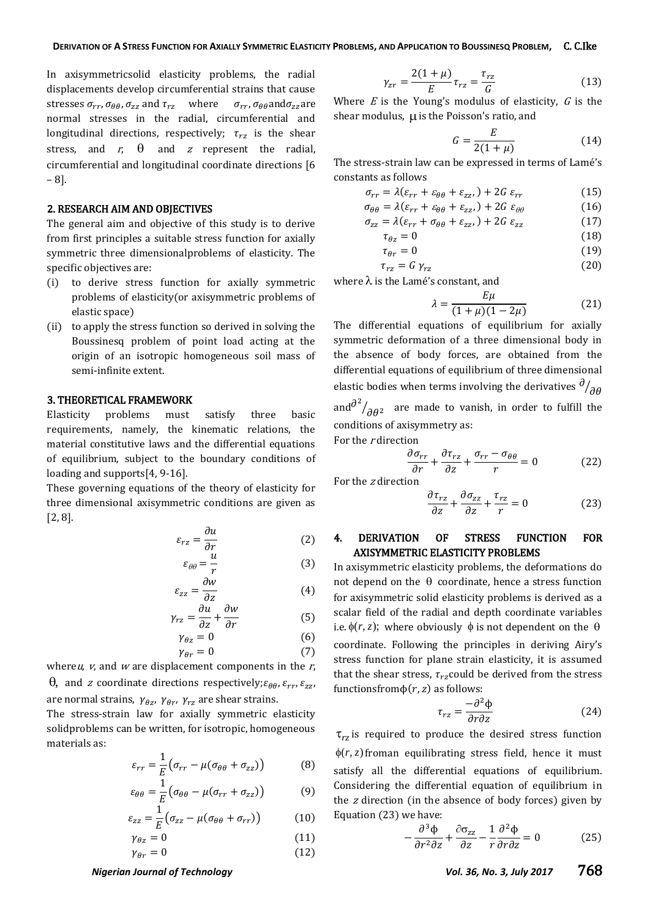In axisymmetricsolid elasticity problems, the radial displacements develop circumferential strains that cause stresses  $\sigma_{rr}$ ,  $\sigma_{\theta\theta}$ ,  $\sigma_{zz}$  and  $\tau_{rz}$  where  $\sigma_{rr}$ ,  $\sigma_{\theta\theta}$  and  $\sigma_{zz}$  are normal stresses in the radial, circumferential and longitudinal directions, respectively;  $\tau_{rz}$  is the shear stress, and  $r$ ,  $\theta$  and  $z$  represent the radial, circumferential and longitudinal coordinate directions [6 – 8].

### 2. RESEARCH AIM AND OBJECTIVES

The general aim and objective of this study is to derive from first principles a suitable stress function for axially symmetric three dimensionalproblems of elasticity. The specific objectives are:

- (i) to derive stress function for axially symmetric problems of elasticity(or axisymmetric problems of elastic space)
- (ii) to apply the stress function so derived in solving the Boussinesq problem of point load acting at the origin of an isotropic homogeneous soil mass of semi-infinite extent.

### 3. THEORETICAL FRAMEWORK

Elasticity problems must satisfy three basic requirements, namely, the kinematic relations, the material constitutive laws and the differential equations of equilibrium, subject to the boundary conditions of loading and supports[4, 9-16].

These governing equations of the theory of elasticity for three dimensional axisymmetric conditions are given as [2, 8].

$$
\varepsilon_{rz} = \frac{\partial u}{\partial r} \tag{2}
$$

$$
\varepsilon_{\theta\theta} = \frac{u}{r}
$$
 (3)

$$
\varepsilon_{zz} = \frac{\partial}{\partial z} \tag{4}
$$
\n
$$
\frac{\partial u}{\partial w} \cdot \frac{\partial w}{\partial w} \tag{5}
$$

$$
\gamma_{rz} = \frac{1}{\partial z} + \frac{1}{\partial r} \tag{5}
$$

$$
\gamma_{\theta z} = 0 \tag{6}
$$

$$
\gamma_{\theta r} = 0 \tag{7}
$$

whereu,  $v$ , and  $w$  are displacement components in the  $r$ ,  $\theta$ , and *z* coordinate directions respectively;  $\varepsilon$ are normal strains,  $\gamma_{\theta z}$ ,  $\gamma_{\theta r}$ ,  $\gamma_{rz}$  are shear strains.

The stress-strain law for axially symmetric elasticity solidproblems can be written, for isotropic, homogeneous materials as:

$$
\varepsilon_{rr} = \frac{1}{E} \big( \sigma_{rr} - \mu (\sigma_{\theta\theta} + \sigma_{zz}) \big) \tag{8}
$$

$$
\varepsilon_{\theta\theta} = \frac{1}{E} \big( \sigma_{\theta\theta} - \mu (\sigma_{rr} + \sigma_{zz}) \big) \tag{9}
$$

$$
\varepsilon_{zz} = \frac{1}{E} \big( \sigma_{zz} - \mu (\sigma_{\theta\theta} + \sigma_{rr}) \big) \tag{10}
$$

$$
\gamma_{\theta z} = 0 \tag{11}
$$

$$
\gamma_{\theta r} = 0 \tag{12}
$$

### $\gamma_{zr} = \frac{2(1+\mu)}{r}$  $\frac{+\mu}{E}\tau_{rz}=\frac{\tau}{2}$ G  $(13)$

Where  $E$  is the Young's modulus of elasticity,  $G$  is the shear modulus,  $\mu$  is the Poisson's ratio, and

$$
G = \frac{E}{2(1+\mu)}\tag{14}
$$

The stress-strain law can be expressed in terms of Lamé's constants as follows

$$
\sigma_{rr} = \lambda(\varepsilon_{rr} + \varepsilon_{\theta\theta} + \varepsilon_{zz}) + 2G \varepsilon_{rr}
$$
 (15)

$$
\sigma_{\theta\theta} = \lambda(\varepsilon_{rr} + \varepsilon_{\theta\theta} + \varepsilon_{zz}) + 2G \varepsilon_{\theta\theta} \tag{16}
$$

$$
\sigma_{zz} = \lambda(\varepsilon_{rr} + \sigma_{\theta\theta} + \varepsilon_{zz}) + 2G \varepsilon_{zz}
$$
 (17)

$$
\tau_{\theta z} = 0 \tag{18}
$$

$$
\tau_{\theta r} = 0 \tag{19}
$$

$$
\tau_{rz} = G \gamma_{rz} \tag{20}
$$

where  $\lambda$  is the Lamé's constant, and

$$
\lambda = \frac{E\mu}{(1+\mu)(1-2\mu)}\tag{21}
$$

The differential equations of equilibrium for axially symmetric deformation of a three dimensional body in the absence of body forces, are obtained from the differential equations of equilibrium of three dimensional elastic bodies when terms involving the derivatives  $^{\sigma}\!/_{\!\partial}$ and  $\frac{\partial^2}{\partial \theta^2}$  are made to vanish, in order to fulfill the conditions of axisymmetry as:

For the <sup>r</sup> direction

$$
\frac{\partial \sigma_{rr}}{\partial r} + \frac{\partial \tau_{rz}}{\partial z} + \frac{\sigma_{rr} - \sigma_{\theta\theta}}{r} = 0
$$
 (22)

For the <sup>z</sup> direction

$$
\frac{\partial \tau_{rz}}{\partial z} + \frac{\partial \sigma_{zz}}{\partial z} + \frac{\tau_{rz}}{r} = 0 \tag{23}
$$

### 4. DERIVATION OF STRESS FUNCTION FOR AXISYMMETRIC ELASTICITY PROBLEMS

In axisymmetric elasticity problems, the deformations do not depend on the  $\theta$  coordinate, hence a stress function for axisymmetric solid elasticity problems is derived as a scalar field of the radial and depth coordinate variables i.e.  $\phi(r, z)$ ; where obviously  $\phi$  is not dependent on the  $\theta$ coordinate. Following the principles in deriving Airy's stress function for plane strain elasticity, it is assumed that the shear stress,  $\tau_{rz}$ could be derived from the stress functionsfrom  $\phi(r, z)$  as follows:

$$
\tau_{rz} = \frac{-\partial^2 \Phi}{\partial r \partial z} \tag{24}
$$

 $\tau_{rz}$  is required to produce the desired stress function  $\phi(r, z)$  froman equilibrating stress field, hence it must satisfy all the differential equations of equilibrium. Considering the differential equation of equilibrium in the <sup>z</sup> direction (in the absence of body forces) given by Equation (23) we have:

$$
-\frac{\partial^3 \Phi}{\partial r^2 \partial z} + \frac{\partial \sigma_{zz}}{\partial z} - \frac{1}{r} \frac{\partial^2 \Phi}{\partial r \partial z} = 0
$$
 (25)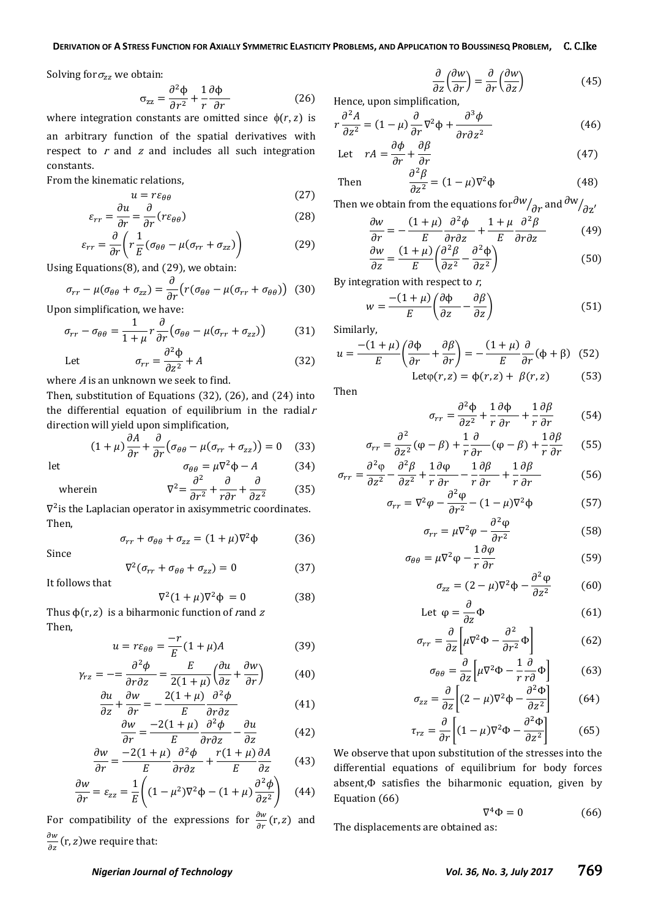Solving for  $\sigma_{zz}$  we obtain:

$$
\sigma_{zz} = \frac{\partial^2 \Phi}{\partial r^2} + \frac{1}{r} \frac{\partial \Phi}{\partial r}
$$
 (26)

where integration constants are omitted since  $\phi(r, z)$  is an arbitrary function of the spatial derivatives with respect to  $r$  and  $z$  and includes all such integration constants.

From the kinematic relations,

$$
u = r\varepsilon_{\theta\theta} \tag{27}
$$

$$
\varepsilon_{rr} = \frac{\partial u}{\partial r} = \frac{\partial}{\partial r} (r \varepsilon_{\theta \theta})
$$
 (28)

$$
\varepsilon_{rr} = \frac{\partial}{\partial r} \left( r \frac{1}{E} (\sigma_{\theta\theta} - \mu (\sigma_{rr} + \sigma_{zz}) \right) \tag{29}
$$

Using Equations(8), and (29), we obtain:

$$
\sigma_{rr} - \mu(\sigma_{\theta\theta} + \sigma_{zz}) = \frac{\partial}{\partial r} \big( r(\sigma_{\theta\theta} - \mu(\sigma_{rr} + \sigma_{\theta\theta})) \tag{30}
$$

Upon simplification, we have:

$$
\sigma_{rr} - \sigma_{\theta\theta} = \frac{1}{1+\mu} r \frac{\partial}{\partial r} \big( \sigma_{\theta\theta} - \mu (\sigma_{rr} + \sigma_{zz}) \big) \tag{31}
$$

Let 
$$
\sigma_{rr} = \frac{\partial^2 \Phi}{\partial z^2} + A
$$
 (32)

where  $A$  is an unknown we seek to find.

Then, substitution of Equations (32), (26), and (24) into the differential equation of equilibrium in the radial $r$ direction will yield upon simplification,

$$
(1 + \mu) \frac{\partial A}{\partial r} + \frac{\partial}{\partial r} \left( \sigma_{\theta\theta} - \mu (\sigma_{rr} + \sigma_{zz}) \right) = 0 \quad (33)
$$

$$
\sigma_{\theta\theta} = \mu \nabla^2 \Phi - A \quad (34)
$$

let 
$$
\sigma_{\theta\theta} = \mu \nabla^2 \Phi - A
$$
 (34)  
wherein 
$$
\nabla^2 = \frac{\partial^2}{\partial r^2} + \frac{\partial}{r \partial r} + \frac{\partial}{\partial z^2}
$$
 (35)

 $\nabla^2$  is the Laplacian operator in axisymmetric coordinates. Then,

$$
\sigma_{rr} + \sigma_{\theta\theta} + \sigma_{zz} = (1 + \mu)\nabla^2 \phi \tag{36}
$$

Since

$$
\nabla^2 (\sigma_{rr} + \sigma_{\theta\theta} + \sigma_{zz}) = 0 \tag{37}
$$

It follows that

wherein

$$
\nabla^2 (1 + \mu) \nabla^2 \Phi = 0 \tag{38}
$$

Thus  $\phi(r, z)$  is a biharmonic function of rand z Then,

$$
u = r\varepsilon_{\theta\theta} = \frac{-r}{E}(1+\mu)A\tag{39}
$$

$$
\gamma_{rz} = -\frac{\partial^2 \phi}{\partial r \partial z} = \frac{E}{2(1+\mu)} \left( \frac{\partial u}{\partial z} + \frac{\partial w}{\partial r} \right) \tag{40}
$$

$$
\frac{\partial u}{\partial z} + \frac{\partial w}{\partial r} = -\frac{2(1+\mu)}{E} \frac{\partial^2 \phi}{\partial r \partial z}
$$
(41)

$$
\frac{\partial w}{\partial r} = \frac{-2(1+\mu)}{E} \frac{\partial^2 \phi}{\partial r \partial z} - \frac{\partial u}{\partial z} \tag{42}
$$

$$
\frac{\partial w}{\partial r} = \frac{-2(1+\mu)}{E} \frac{\partial^2 \phi}{\partial r \partial z} + \frac{r(1+\mu)}{E} \frac{\partial A}{\partial z}
$$
(43)

$$
\frac{\partial w}{\partial r} = \varepsilon_{zz} = \frac{1}{E} \left( (1 - \mu^2) \nabla^2 \phi - (1 + \mu) \frac{\partial^2 \phi}{\partial z^2} \right) \tag{44}
$$

For compatibility of the expressions for  $\frac{\partial w}{\partial r}$  (r, z) and  $\partial$  $\frac{\partial w}{\partial z}$  (r, z) we require that:

$$
\frac{\partial}{\partial z} \left( \frac{\partial w}{\partial r} \right) = \frac{\partial}{\partial r} \left( \frac{\partial w}{\partial z} \right) \tag{45}
$$

Hence, upon simplification,

$$
r\frac{\partial^2 A}{\partial z^2} = (1 - \mu)\frac{\partial}{\partial r}\nabla^2 \phi + \frac{\partial^3 \phi}{\partial r \partial z^2}
$$
 (46)

Let 
$$
rA = \frac{\partial \phi}{\partial r} + \frac{\partial \beta}{\partial r}
$$
 (47)

Then 
$$
\frac{\partial^2 \beta}{\partial z^2} = (1 - \mu)\nabla^2 \phi
$$
 (48)

Then we obtain from the equations for  $\partial^{\bm{\mathcal{W}}}\!\big/_{\partial r}$  and  $\partial^{\bm{\mathcal{W}}}\!\big/_{\partial}$ 

$$
\frac{\partial w}{\partial r} = -\frac{(1+\mu)}{E} \frac{\partial^2 \phi}{\partial r \partial z} + \frac{1+\mu}{E} \frac{\partial^2 \beta}{\partial r \partial z}
$$
(49)  
\n
$$
\frac{\partial w}{\partial w} = (1+\mu)\left(\frac{\partial^2 \beta}{\partial r \partial z} + \frac{\partial^2 \phi}{\partial r \partial z}\right)
$$
(49)

$$
\frac{\partial W}{\partial z} = \frac{(1 + \mu)}{E} \left( \frac{\partial^2 P}{\partial z^2} - \frac{\partial^2 \phi}{\partial z^2} \right) \tag{50}
$$

By integration with respect to  $r$ ,

$$
w = \frac{-(1+\mu)}{E} \left( \frac{\partial \Phi}{\partial z} - \frac{\partial \beta}{\partial z} \right)
$$
(51)

Similarly,

$$
u = \frac{-(1+\mu)}{E} \left( \frac{\partial \phi}{\partial r} + \frac{\partial \beta}{\partial r} \right) = -\frac{(1+\mu)}{E} \frac{\partial}{\partial r} (\phi + \beta) \tag{52}
$$
  
Let  $\phi(r, z) = \phi(r, z) + \beta(r, z)$  (53)

Then

$$
\sigma_{rr} = \frac{\partial^2 \Phi}{\partial z^2} + \frac{1}{r} \frac{\partial \Phi}{\partial r} + \frac{1}{r} \frac{\partial \beta}{\partial r}
$$
(54)

$$
\sigma_{rr} = \frac{\partial^2}{\partial z^2} (\varphi - \beta) + \frac{1}{r} \frac{\partial}{\partial r} (\varphi - \beta) + \frac{1}{r} \frac{\partial \beta}{\partial r} \qquad (55)
$$

$$
\sigma_{rr} = \frac{\partial^2 \varphi}{\partial z^2} - \frac{\partial^2 \beta}{\partial z^2} + \frac{1}{r} \frac{\partial \varphi}{\partial r} - \frac{1}{r} \frac{\partial \beta}{\partial r} + \frac{1}{r} \frac{\partial \beta}{\partial r}
$$
(56)

$$
\sigma_{rr} = \nabla^2 \varphi - \frac{\partial^2 \varphi}{\partial r^2} - (1 - \mu) \nabla^2 \varphi \tag{57}
$$

$$
\sigma_{rr} = \mu \nabla^2 \varphi - \frac{\partial^2 \varphi}{\partial r^2}
$$
 (58)

$$
\sigma_{\theta\theta} = \mu \nabla^2 \varphi - \frac{1}{r} \frac{\partial \varphi}{\partial r}
$$
 (59)

$$
\sigma_{zz} = (2 - \mu)\nabla^2 \phi - \frac{\partial^2 \phi}{\partial z^2} \tag{60}
$$

Let 
$$
\varphi = \frac{\partial}{\partial z} \Phi
$$
 (61)

$$
\sigma_{rr} = \frac{\partial}{\partial z} \left[ \mu \nabla^2 \Phi - \frac{\partial^2}{\partial r^2} \Phi \right]
$$
(62)

$$
\sigma_{\theta\theta} = \frac{\partial}{\partial z} \left[ \mu \nabla^2 \Phi - \frac{1}{r} \frac{\partial}{r \partial} \Phi \right]
$$
(63)

$$
\sigma_{zz} = \frac{\partial}{\partial z} \left[ (2 - \mu) \nabla^2 \Phi - \frac{\partial^2 \Phi}{\partial z^2} \right]
$$
(64)

$$
\tau_{rz} = \frac{\partial}{\partial r} \left[ (1 - \mu) \nabla^2 \Phi - \frac{\partial^2 \Phi}{\partial z^2} \right] \tag{65}
$$

We observe that upon substitution of the stresses into the differential equations of equilibrium for body forces absent, $\Phi$  satisfies the biharmonic equation, given by Equation (66)

$$
\nabla^4 \Phi = 0 \tag{66}
$$

The displacements are obtained as: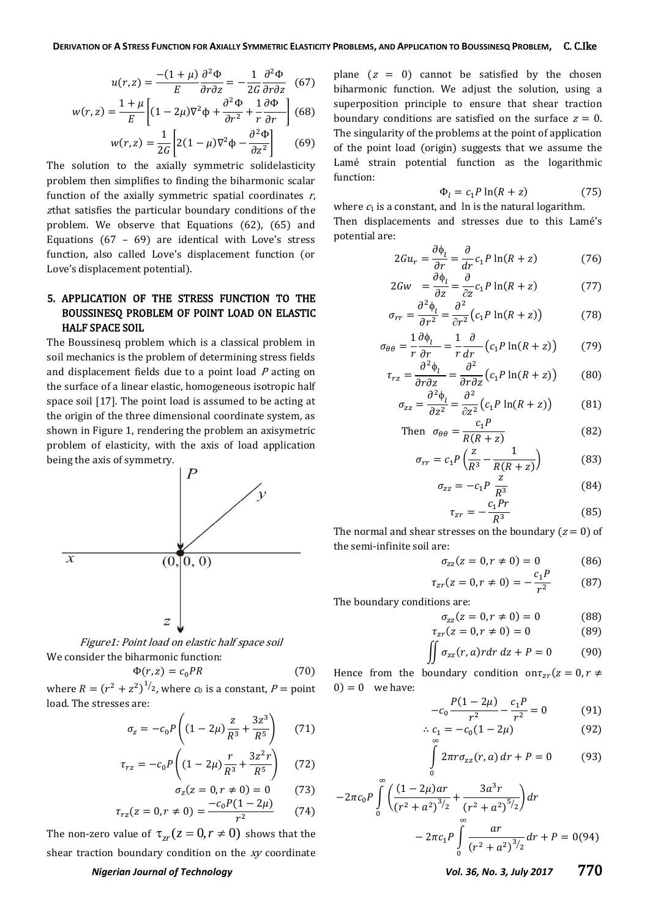$$
u(r,z) = \frac{-(1+\mu)}{E} \frac{\partial^2 \Phi}{\partial r \partial z} = -\frac{1}{2G} \frac{\partial^2 \Phi}{\partial r \partial z}
$$
 (67)

$$
w(r,z) = \frac{1+\mu}{E} \left[ (1 - 2\mu)\nabla^2 \phi + \frac{\partial^2 \Phi}{\partial r^2} + \frac{1}{r} \frac{\partial \Phi}{\partial r} \right] (68)
$$

$$
w(r,z) = \frac{1}{2G} \left[ 2(1-\mu)\nabla^2 \phi - \frac{\partial^2 \Phi}{\partial z^2} \right] \tag{69}
$$

 $\partial$ The solution to the axially symmetric solidelasticity problem then simplifies to finding the biharmonic scalar function of the axially symmetric spatial coordinates  $r$ , <sup>z</sup>that satisfies the particular boundary conditions of the problem. We observe that Equations (62), (65) and Equations (67 - 69) are identical with Love's stress function, also called Love's displacement function (or Love's displacement potential).

### 5. APPLICATION OF THE STRESS FUNCTION TO THE BOUSSINESQ PROBLEM OF POINT LOAD ON ELASTIC HALF SPACE SOIL

The Boussinesq problem which is a classical problem in soil mechanics is the problem of determining stress fields and displacement fields due to a point load <sup>P</sup> acting on the surface of a linear elastic, homogeneous isotropic half space soil [17]. The point load is assumed to be acting at the origin of the three dimensional coordinate system, as shown in Figure 1, rendering the problem an axisymetric problem of elasticity, with the axis of load application being the axis of symmetry.



Figure1: Point load on elastic half space soil We consider the biharmonic function:

$$
\Phi(r, z) = c_0 PR \tag{70}
$$

where  $R = (r^2 + z^2)^{1/2}$ , where  $c_0$  is a constant,  $P =$  point load. The stresses are:

$$
\sigma_z = -c_0 P \left( (1 - 2\mu) \frac{z}{R^3} + \frac{3z^3}{R^5} \right) \tag{71}
$$

$$
\tau_{rz} = -c_0 P \left( (1 - 2\mu) \frac{r}{R^3} + \frac{3z^2 r}{R^5} \right) \tag{72}
$$

$$
\sigma_z(z = 0, r \neq 0) = 0 \tag{73}
$$

$$
(\sigma_z = 0, r \neq 0) = \frac{-c_0 P (1 - 2\mu)}{(74)}
$$

$$
\tau_{rz}(z=0, r \neq 0) = \frac{c_0 r (1 - 2\mu)}{r^2} \tag{74}
$$

The non-zero value of  $\tau_{zr}(z=0, r \neq 0)$  shows that the shear traction boundary condition on the xy coordinate

## *Nigerian Journal of Technology Vol. 36, No. 3, July 2017* 770

plane  $(z = 0)$  cannot be satisfied by the chosen biharmonic function. We adjust the solution, using a superposition principle to ensure that shear traction boundary conditions are satisfied on the surface  $z = 0$ . The singularity of the problems at the point of application of the point load (origin) suggests that we assume the Lamé strain potential function as the logarithmic function:

$$
\Phi_l = c_1 P \ln(R + z) \tag{75}
$$

where  $c_1$  is a constant, and ln is the natural logarithm. hen displacements and stresses due to this Lamé's potential are:

$$
2Gu_r = \frac{\partial \phi_l}{\partial r} = \frac{\partial}{\partial r} c_1 P \ln(R + z)
$$
 (76)

$$
2Gw = \frac{\partial \phi_l}{\partial z} = \frac{\partial}{\partial z} c_1 P \ln(R + z) \tag{77}
$$

$$
\sigma_{rr} = \frac{\partial^2 \phi_l}{\partial r^2} = \frac{\partial^2}{\partial r^2} \left( c_1 P \ln(R + z) \right) \tag{78}
$$

$$
\sigma_{\theta\theta} = \frac{1}{r} \frac{\partial \phi_l}{\partial r} = \frac{1}{r} \frac{\partial}{dr} \left( c_1 P \ln(R + z) \right) \tag{79}
$$

$$
\tau_{rz} = \frac{\partial^2 \phi_l}{\partial r \partial z} = \frac{\partial^2}{\partial r \partial z} \left( c_1 P \ln(R + z) \right) \tag{80}
$$

$$
\sigma_{zz} = \frac{\partial^2 \phi_l}{\partial z^2} = \frac{\partial^2}{\partial z^2} \left( c_1 P \ln(R + z) \right) \tag{81}
$$

Then 
$$
\sigma_{\theta\theta} = \frac{c_1 P}{R(R+z)}
$$
 (82)

$$
\sigma_{rr} = c_1 P \left( \frac{z}{R^3} - \frac{1}{R(R+z)} \right) \tag{83}
$$

$$
\sigma_{zz} = -c_1 P \frac{2}{R^3}
$$
 (84)  

$$
c_1 Pr
$$
 (85)

$$
\tau_{zr} = -\frac{c_1 r r}{R^3} \tag{85}
$$

The normal and shear stresses on the boundary ( $z = 0$ ) of the semi-infinite soil are:

$$
\sigma_{zz}(z=0, r \neq 0) = 0 \tag{86}
$$

$$
\tau_{zr}(z=0, r \neq 0) = -\frac{c_1 P}{r^2} \tag{87}
$$

The boundary conditions are:

$$
\sigma_{zz}(z=0, r \neq 0) = 0 \tag{88}
$$

$$
\tau_{zr}(z=0, r \neq 0) = 0 \tag{89}
$$

$$
\iint \sigma_{zz}(r, a) r dr dz + P = 0 \tag{90}
$$

Hence from the boundary condition on  $\tau_{zr}(z=0, r \neq 0)$  $0$ ) = 0 we have:

$$
-c_0 \frac{P(1-2\mu)}{r^2} - \frac{c_1 P}{r^2} = 0 \tag{91}
$$

$$
\therefore c_1 = -c_0(1 - 2\mu) \tag{92}
$$

$$
\int_{0}^{R} 2\pi r \sigma_{zz}(r, a) dr + P = 0 \tag{93}
$$

$$
-2\pi c_0 P \int_0^{\infty} \left( \frac{(1-2\mu)ar}{(r^2+a^2)^{3/2}} + \frac{3a^3r}{(r^2+a^2)^{5/2}} \right) dr
$$

$$
-2\pi c_1 P \int_0^{\infty} \frac{ar}{(r^2+a^2)^{3/2}} dr + P = 0 \tag{94}
$$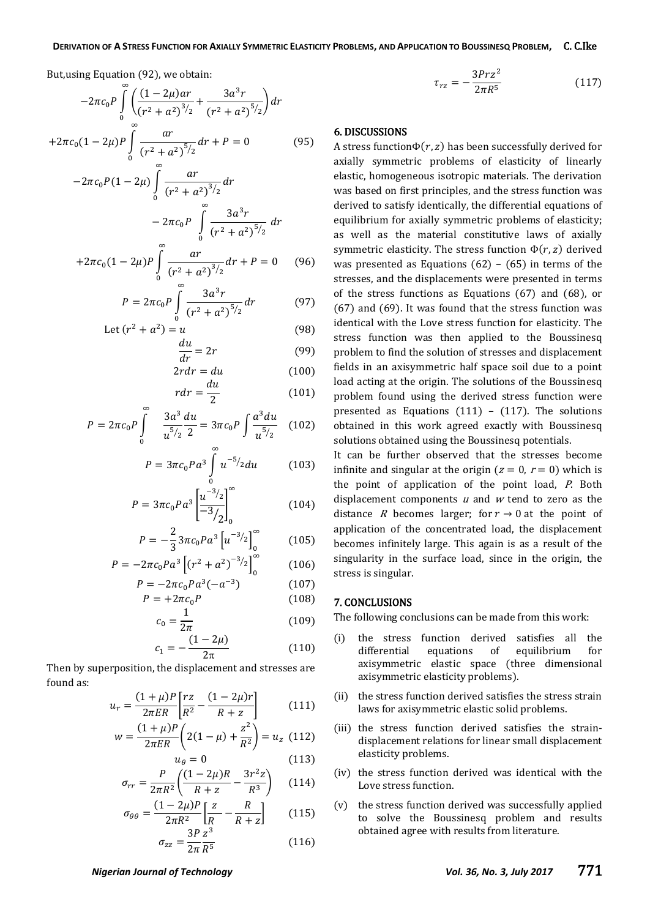But,using Equation (92), we obtain:

$$
-2\pi c_0 P \int_0^{\infty} \left( \frac{(1-2\mu)ar}{(r^2+a^2)^{3/2}} + \frac{3a^3r}{(r^2+a^2)^{5/2}} \right) dr
$$
  
+2\pi c\_0 (1-2\mu) P \int\_0^{\infty} \frac{ar}{(r^2+a^2)^{5/2}} dr + P = 0 \tag{95}

$$
-2\pi c_0 P (1 - 2\mu) \int_0^{\infty} \frac{ar}{(r^2 + a^2)^{3/2}} dr
$$
  

$$
-2\pi c_0 P \int_0^{\infty} \frac{3a^3 r}{(r^2 + a^2)^{5/2}} dr
$$

$$
+2\pi c_0 (1-2\mu) P \int\limits_0^\infty \frac{ar}{(r^2+a^2)^{3/2}} dr + P = 0 \qquad (96)
$$

$$
P = 2\pi c_0 P \int_{0}^{\infty} \frac{3a^3 r}{(r^2 + a^2)^{5/2}} dr
$$
 (97)

Let 
$$
(r^2 + a^2) = u
$$
 (98)

$$
\frac{du}{dr} = 2r\tag{99}
$$

$$
2rdr = du \tag{100}
$$

$$
rdr = \frac{du}{2} \tag{101}
$$

$$
P = 2\pi c_0 P \int_{0}^{\infty} \frac{3a^3}{u^{5/2}} \frac{du}{2} = 3\pi c_0 P \int \frac{a^3 du}{u^{5/2}} \quad (102)
$$

$$
P = 3\pi c_0 P a^3 \int_0^{\pi} u^{-5/2} du \qquad (103)
$$

$$
P = 3\pi c_0 P a^3 \left[ \frac{u^{-3/2}}{-3/2} \right]_0^{\infty}
$$
 (104)

$$
P = -\frac{2}{3}3\pi c_0 P a^3 \left[ u^{-3/2} \right]_0^{\infty} \tag{105}
$$

$$
P = -2\pi c_0 P a^3 \left[ \left( r^2 + a^2 \right)^{-3/2} \right]_0^{\infty} \tag{106}
$$

$$
P = -2\pi c_0 P a^3 (-a^{-3}) \tag{107}
$$

$$
P = +2\pi c_0 P \tag{108}
$$

$$
c_0 = \frac{1}{2\pi} \tag{109}
$$

$$
=-\frac{(1-2\mu)}{2\pi} \tag{110}
$$

Then by superposition, the displacement and stresses are found as:

 $c<sub>1</sub>$ 

$$
u_r = \frac{(1+\mu)P}{2\pi ER} \left[ \frac{rz}{R^2} - \frac{(1-2\mu)r}{R+z} \right]
$$
 (111)

$$
w = \frac{(1 + \mu)P}{2\pi ER} \left( 2(1 - \mu) + \frac{z^2}{R^2} \right) = u_z \tag{112}
$$

$$
u_{\theta} = 0 \tag{113}
$$
\n
$$
u_{\theta} = 0 \tag{113}
$$

$$
\sigma_{rr} = \frac{P}{2\pi R^2} \left( \frac{(1 - 2\mu)R}{R + z} - \frac{3r^2 z}{R^3} \right) \tag{114}
$$

$$
\sigma_{\theta\theta} = \frac{(1 - 2\mu)P}{2\pi R^2} \left[ \frac{z}{R} - \frac{R}{R + z} \right]
$$
(115)

$$
\sigma_{zz} = \frac{3P}{2\pi} \frac{z^3}{R^5} \tag{116}
$$

$$
\tau_{rz} = -\frac{3Prz^2}{2\pi R^5} \tag{117}
$$

### 6. DISCUSSIONS

A stress function  $\Phi(r, z)$  has been successfully derived for axially symmetric problems of elasticity of linearly elastic, homogeneous isotropic materials. The derivation was based on first principles, and the stress function was derived to satisfy identically, the differential equations of equilibrium for axially symmetric problems of elasticity; as well as the material constitutive laws of axially symmetric elasticity. The stress function  $\Phi(r, z)$  derived was presented as Equations  $(62) - (65)$  in terms of the stresses, and the displacements were presented in terms of the stress functions as Equations (67) and (68), or (67) and (69). It was found that the stress function was identical with the Love stress function for elasticity. The stress function was then applied to the Boussinesq problem to find the solution of stresses and displacement fields in an axisymmetric half space soil due to a point load acting at the origin. The solutions of the Boussinesq problem found using the derived stress function were presented as Equations (111) - (117). The solutions obtained in this work agreed exactly with Boussinesq solutions obtained using the Boussinesq potentials.

It can be further observed that the stresses become infinite and singular at the origin ( $z = 0$ ,  $r = 0$ ) which is the point of application of the point load, P. Both displacement components  $u$  and  $w$  tend to zero as the distance R becomes larger; for  $r \to 0$  at the point of application of the concentrated load, the displacement becomes infinitely large. This again is as a result of the singularity in the surface load, since in the origin, the stress is singular.

### 7. CONCLUSIONS

The following conclusions can be made from this work:

- (i) the stress function derived satisfies all the differential equations of equilibrium for axisymmetric elastic space (three dimensional axisymmetric elasticity problems).
- (ii) the stress function derived satisfies the stress strain laws for axisymmetric elastic solid problems.
- (iii) the stress function derived satisfies the straindisplacement relations for linear small displacement elasticity problems.
- (iv) the stress function derived was identical with the Love stress function.
- (v) the stress function derived was successfully applied to solve the Boussinesq problem and results obtained agree with results from literature.